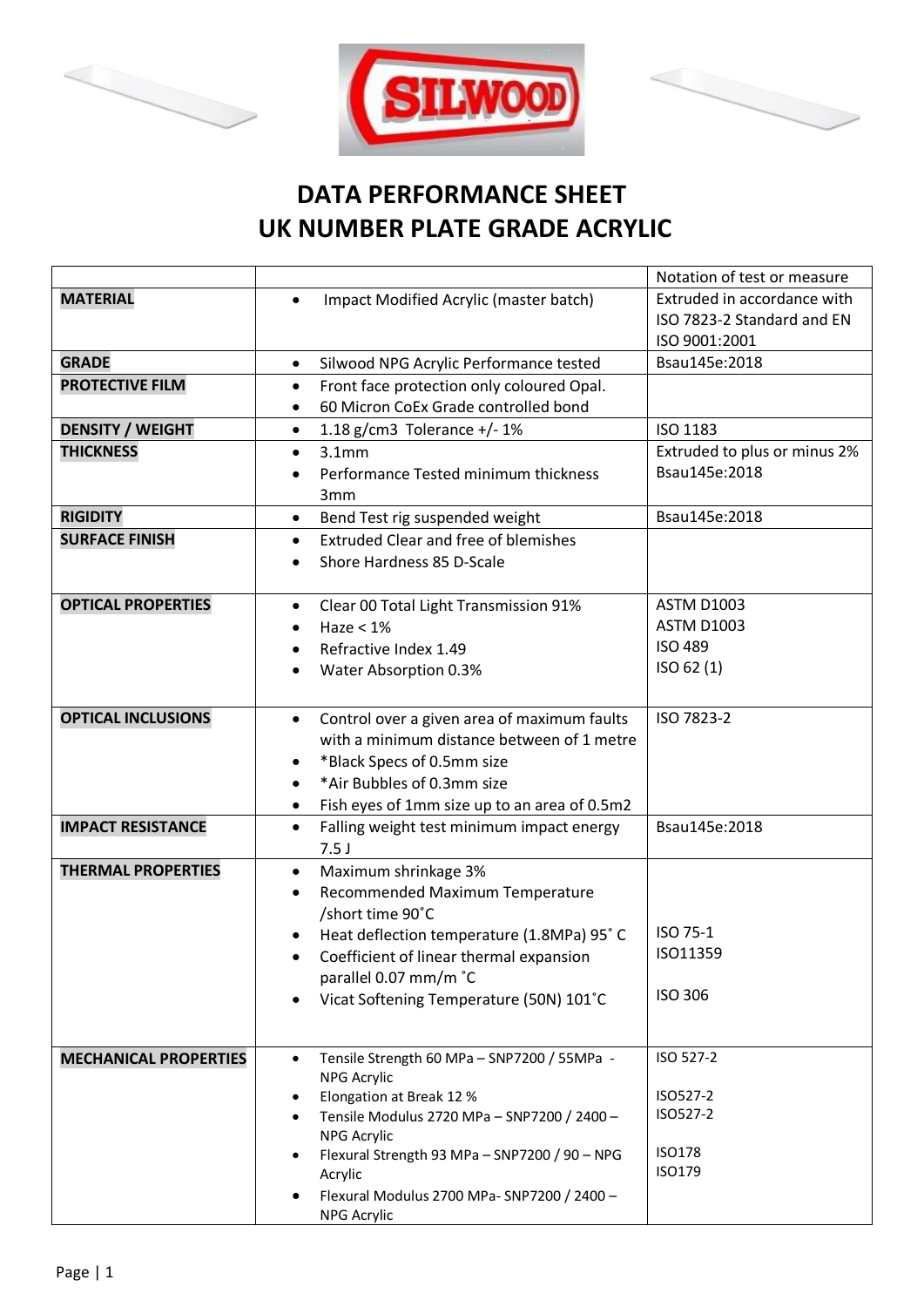





## **DATA PERFORMANCE SHEET UK NUMBER PLATE GRADE ACRYLIC**

|                              |                                                                                | Notation of test or measure  |
|------------------------------|--------------------------------------------------------------------------------|------------------------------|
| <b>MATERIAL</b>              | Impact Modified Acrylic (master batch)<br>$\bullet$                            | Extruded in accordance with  |
|                              |                                                                                | ISO 7823-2 Standard and EN   |
|                              |                                                                                | ISO 9001:2001                |
| <b>GRADE</b>                 | Silwood NPG Acrylic Performance tested<br>$\bullet$                            | Bsau145e:2018                |
| <b>PROTECTIVE FILM</b>       | Front face protection only coloured Opal.<br>$\bullet$                         |                              |
|                              | 60 Micron CoEx Grade controlled bond<br>$\bullet$                              |                              |
| <b>DENSITY / WEIGHT</b>      | 1.18 g/cm3 Tolerance $+/-1\%$<br>$\bullet$                                     | ISO 1183                     |
| <b>THICKNESS</b>             | 3.1 <sub>mm</sub><br>$\bullet$                                                 | Extruded to plus or minus 2% |
|                              | Performance Tested minimum thickness                                           | Bsau145e:2018                |
|                              | 3 <sub>mm</sub>                                                                |                              |
| <b>RIGIDITY</b>              | Bend Test rig suspended weight<br>$\bullet$                                    | Bsau145e:2018                |
| <b>SURFACE FINISH</b>        | <b>Extruded Clear and free of blemishes</b><br>$\bullet$                       |                              |
|                              | Shore Hardness 85 D-Scale<br>$\bullet$                                         |                              |
|                              |                                                                                |                              |
| <b>OPTICAL PROPERTIES</b>    | Clear 00 Total Light Transmission 91%<br>$\bullet$                             | <b>ASTM D1003</b>            |
|                              | Haze $< 1\%$                                                                   | <b>ASTM D1003</b>            |
|                              | Refractive Index 1.49                                                          | <b>ISO 489</b>               |
|                              | Water Absorption 0.3%                                                          | ISO 62 (1)                   |
|                              |                                                                                |                              |
| <b>OPTICAL INCLUSIONS</b>    | Control over a given area of maximum faults<br>$\bullet$                       | ISO 7823-2                   |
|                              | with a minimum distance between of 1 metre                                     |                              |
|                              | *Black Specs of 0.5mm size                                                     |                              |
|                              | *Air Bubbles of 0.3mm size<br>$\bullet$                                        |                              |
|                              | Fish eyes of 1mm size up to an area of 0.5m2<br>$\bullet$                      |                              |
| <b>IMPACT RESISTANCE</b>     | Falling weight test minimum impact energy<br>$\bullet$                         | Bsau145e:2018                |
|                              | 7.5J                                                                           |                              |
| <b>THERMAL PROPERTIES</b>    | Maximum shrinkage 3%<br>$\bullet$                                              |                              |
|                              | Recommended Maximum Temperature<br>٠                                           |                              |
|                              | /short time 90°C                                                               |                              |
|                              | Heat deflection temperature (1.8MPa) 95°C                                      | ISO 75-1                     |
|                              | Coefficient of linear thermal expansion                                        | ISO11359                     |
|                              | parallel 0.07 mm/m °C                                                          |                              |
|                              | Vicat Softening Temperature (50N) 101°C<br>٠                                   | <b>ISO 306</b>               |
|                              |                                                                                |                              |
|                              |                                                                                |                              |
| <b>MECHANICAL PROPERTIES</b> | Tensile Strength 60 MPa - SNP7200 / 55MPa -<br>$\bullet$<br><b>NPG Acrylic</b> | ISO 527-2                    |
|                              | Elongation at Break 12 %<br>٠                                                  | ISO527-2                     |
|                              | Tensile Modulus 2720 MPa - SNP7200 / 2400 -                                    | ISO527-2                     |
|                              | <b>NPG Acrylic</b>                                                             |                              |
|                              | Flexural Strength 93 MPa - SNP7200 / 90 - NPG                                  | <b>ISO178</b>                |
|                              | Acrylic                                                                        | ISO179                       |
|                              | Flexural Modulus 2700 MPa- SNP7200 / 2400 -                                    |                              |
|                              | <b>NPG Acrylic</b>                                                             |                              |